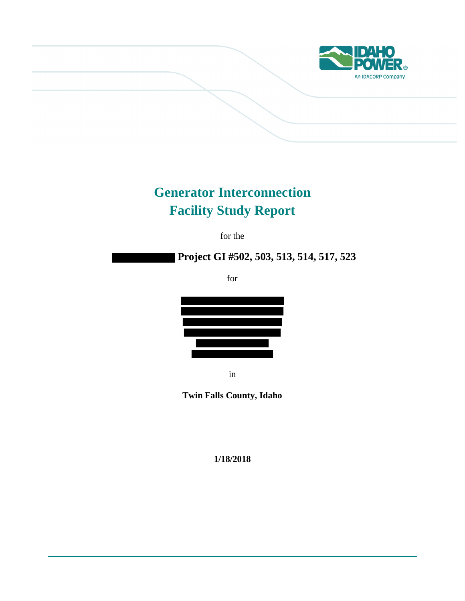

# **Generator Interconnection Facility Study Report**

for the

# **Project GI #502, 503, 513, 514, 517, 523**

for



in

**Twin Falls County, Idaho**

**1/18/2018**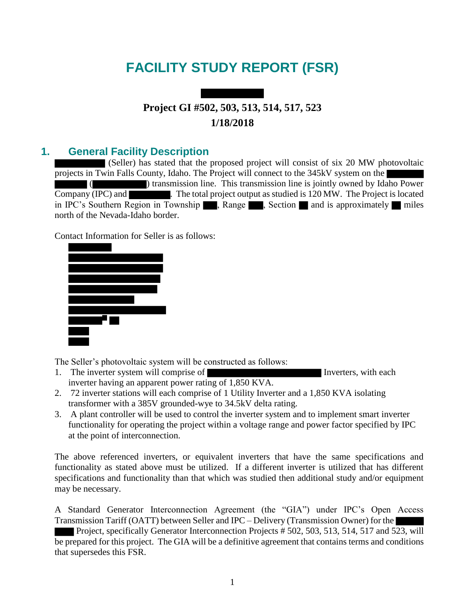# **FACILITY STUDY REPORT (FSR)**

# **Project GI #502, 503, 513, 514, 517, 523 1/18/2018**

## **1. General Facility Description**

(Seller) has stated that the proposed project will consist of six 20 MW photovoltaic projects in Twin Falls County, Idaho. The Project will connect to the 345kV system on the ( ) transmission line. This transmission line is jointly owned by Idaho Power  $\overline{\text{ Company}}$  (IPC) and  $\overline{\text{Length}}$ . The total project output as studied is 120 MW. The Project is located in IPC's Southern Region in Township  $\blacksquare$ , Range  $\blacksquare$ , Section  $\blacksquare$  and is approximately  $\blacksquare$  miles north of the Nevada-Idaho border.

Contact Information for Seller is as follows:



The Seller's photovoltaic system will be constructed as follows:

- 1. The inverter system will comprise of Inverters, with each inverter having an apparent power rating of 1,850 KVA.
- 2. 72 inverter stations will each comprise of 1 Utility Inverter and a 1,850 KVA isolating transformer with a 385V grounded-wye to 34.5kV delta rating.
- 3. A plant controller will be used to control the inverter system and to implement smart inverter functionality for operating the project within a voltage range and power factor specified by IPC at the point of interconnection.

The above referenced inverters, or equivalent inverters that have the same specifications and functionality as stated above must be utilized. If a different inverter is utilized that has different specifications and functionality than that which was studied then additional study and/or equipment may be necessary.

A Standard Generator Interconnection Agreement (the "GIA") under IPC's Open Access Transmission Tariff (OATT) between Seller and IPC – Delivery (Transmission Owner) for the Project, specifically Generator Interconnection Projects # 502, 503, 513, 514, 517 and 523, will

be prepared for this project. The GIA will be a definitive agreement that contains terms and conditions that supersedes this FSR.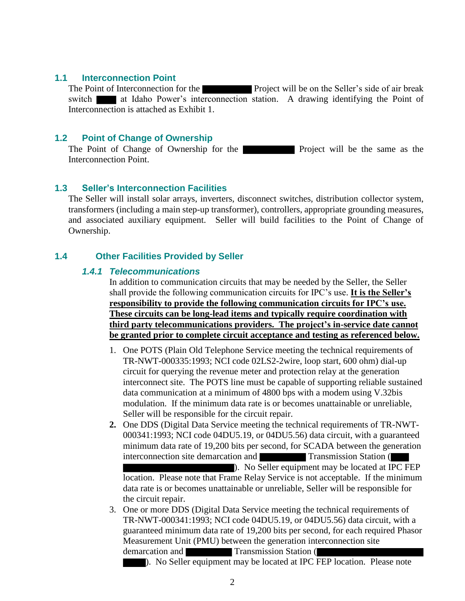### **1.1 Interconnection Point**

The Point of Interconnection for the Project will be on the Seller's side of air break switch at Idaho Power's interconnection station. A drawing identifying the Point of Interconnection is attached as Exhibit 1.

## **1.2 Point of Change of Ownership**

The Point of Change of Ownership for the **Project** will be the same as the Interconnection Point.

### **1.3 Seller's Interconnection Facilities**

The Seller will install solar arrays, inverters, disconnect switches, distribution collector system, transformers (including a main step-up transformer), controllers, appropriate grounding measures, and associated auxiliary equipment. Seller will build facilities to the Point of Change of Ownership.

## **1.4 Other Facilities Provided by Seller**

### *1.4.1 Telecommunications*

In addition to communication circuits that may be needed by the Seller, the Seller shall provide the following communication circuits for IPC's use. **It is the Seller's responsibility to provide the following communication circuits for IPC's use. These circuits can be long-lead items and typically require coordination with third party telecommunications providers. The project's in-service date cannot be granted prior to complete circuit acceptance and testing as referenced below.** 

- 1. One POTS (Plain Old Telephone Service meeting the technical requirements of TR-NWT-000335:1993; NCI code 02LS2-2wire, loop start, 600 ohm) dial-up circuit for querying the revenue meter and protection relay at the generation interconnect site. The POTS line must be capable of supporting reliable sustained data communication at a minimum of 4800 bps with a modem using V.32bis modulation. If the minimum data rate is or becomes unattainable or unreliable, Seller will be responsible for the circuit repair.
- **2.** One DDS (Digital Data Service meeting the technical requirements of TR-NWT-000341:1993; NCI code 04DU5.19, or 04DU5.56) data circuit, with a guaranteed minimum data rate of 19,200 bits per second, for SCADA between the generation interconnection site demarcation and Transmission Station ( ). No Seller equipment may be located at IPC FEP location. Please note that Frame Relay Service is not acceptable. If the minimum data rate is or becomes unattainable or unreliable, Seller will be responsible for the circuit repair.
- 3. One or more DDS (Digital Data Service meeting the technical requirements of TR-NWT-000341:1993; NCI code 04DU5.19, or 04DU5.56) data circuit, with a guaranteed minimum data rate of 19,200 bits per second, for each required Phasor Measurement Unit (PMU) between the generation interconnection site demarcation and Transmission Station (

). No Seller equipment may be located at IPC FEP location. Please note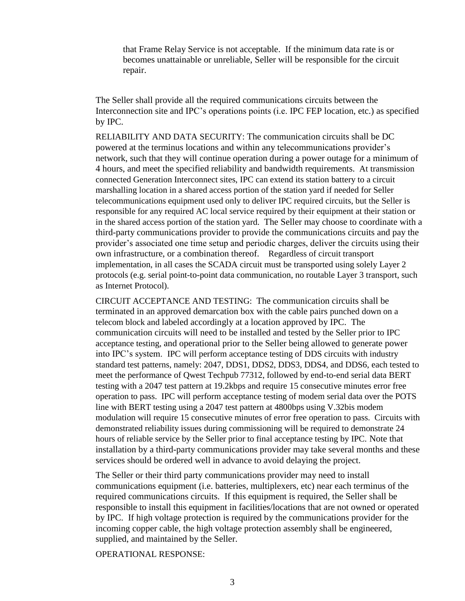that Frame Relay Service is not acceptable. If the minimum data rate is or becomes unattainable or unreliable, Seller will be responsible for the circuit repair.

The Seller shall provide all the required communications circuits between the Interconnection site and IPC's operations points (i.e. IPC FEP location, etc.) as specified by IPC.

RELIABILITY AND DATA SECURITY: The communication circuits shall be DC powered at the terminus locations and within any telecommunications provider's network, such that they will continue operation during a power outage for a minimum of 4 hours, and meet the specified reliability and bandwidth requirements. At transmission connected Generation Interconnect sites, IPC can extend its station battery to a circuit marshalling location in a shared access portion of the station yard if needed for Seller telecommunications equipment used only to deliver IPC required circuits, but the Seller is responsible for any required AC local service required by their equipment at their station or in the shared access portion of the station yard. The Seller may choose to coordinate with a third-party communications provider to provide the communications circuits and pay the provider's associated one time setup and periodic charges, deliver the circuits using their own infrastructure, or a combination thereof. Regardless of circuit transport implementation, in all cases the SCADA circuit must be transported using solely Layer 2 protocols (e.g. serial point-to-point data communication, no routable Layer 3 transport, such as Internet Protocol).

CIRCUIT ACCEPTANCE AND TESTING: The communication circuits shall be terminated in an approved demarcation box with the cable pairs punched down on a telecom block and labeled accordingly at a location approved by IPC. The communication circuits will need to be installed and tested by the Seller prior to IPC acceptance testing, and operational prior to the Seller being allowed to generate power into IPC's system. IPC will perform acceptance testing of DDS circuits with industry standard test patterns, namely: 2047, DDS1, DDS2, DDS3, DDS4, and DDS6, each tested to meet the performance of Qwest Techpub 77312, followed by end-to-end serial data BERT testing with a 2047 test pattern at 19.2kbps and require 15 consecutive minutes error free operation to pass. IPC will perform acceptance testing of modem serial data over the POTS line with BERT testing using a 2047 test pattern at 4800bps using V.32bis modem modulation will require 15 consecutive minutes of error free operation to pass. Circuits with demonstrated reliability issues during commissioning will be required to demonstrate 24 hours of reliable service by the Seller prior to final acceptance testing by IPC. Note that installation by a third-party communications provider may take several months and these services should be ordered well in advance to avoid delaying the project.

The Seller or their third party communications provider may need to install communications equipment (i.e. batteries, multiplexers, etc) near each terminus of the required communications circuits. If this equipment is required, the Seller shall be responsible to install this equipment in facilities/locations that are not owned or operated by IPC. If high voltage protection is required by the communications provider for the incoming copper cable, the high voltage protection assembly shall be engineered, supplied, and maintained by the Seller.

OPERATIONAL RESPONSE: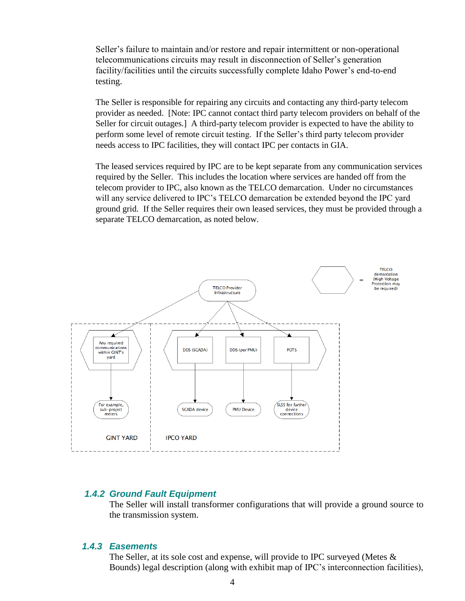Seller's failure to maintain and/or restore and repair intermittent or non-operational telecommunications circuits may result in disconnection of Seller's generation facility/facilities until the circuits successfully complete Idaho Power's end-to-end testing.

The Seller is responsible for repairing any circuits and contacting any third-party telecom provider as needed. [Note: IPC cannot contact third party telecom providers on behalf of the Seller for circuit outages.] A third-party telecom provider is expected to have the ability to perform some level of remote circuit testing. If the Seller's third party telecom provider needs access to IPC facilities, they will contact IPC per contacts in GIA.

The leased services required by IPC are to be kept separate from any communication services required by the Seller. This includes the location where services are handed off from the telecom provider to IPC, also known as the TELCO demarcation. Under no circumstances will any service delivered to IPC's TELCO demarcation be extended beyond the IPC yard ground grid. If the Seller requires their own leased services, they must be provided through a separate TELCO demarcation, as noted below.



## *1.4.2 Ground Fault Equipment*

The Seller will install transformer configurations that will provide a ground source to the transmission system.

## *1.4.3 Easements*

The Seller, at its sole cost and expense, will provide to IPC surveyed (Metes & Bounds) legal description (along with exhibit map of IPC's interconnection facilities),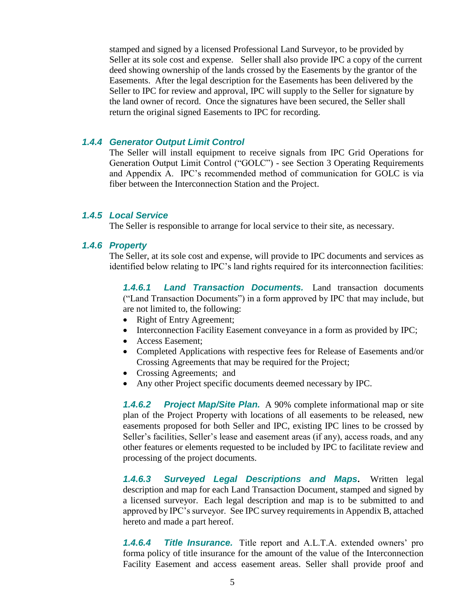stamped and signed by a licensed Professional Land Surveyor, to be provided by Seller at its sole cost and expense. Seller shall also provide IPC a copy of the current deed showing ownership of the lands crossed by the Easements by the grantor of the Easements. After the legal description for the Easements has been delivered by the Seller to IPC for review and approval, IPC will supply to the Seller for signature by the land owner of record. Once the signatures have been secured, the Seller shall return the original signed Easements to IPC for recording.

### *1.4.4 Generator Output Limit Control*

The Seller will install equipment to receive signals from IPC Grid Operations for Generation Output Limit Control ("GOLC") - see Section 3 Operating Requirements and Appendix A. IPC's recommended method of communication for GOLC is via fiber between the Interconnection Station and the Project.

### *1.4.5 Local Service*

The Seller is responsible to arrange for local service to their site, as necessary.

#### *1.4.6 Property*

The Seller, at its sole cost and expense, will provide to IPC documents and services as identified below relating to IPC's land rights required for its interconnection facilities:

*1.4.6.1 Land Transaction Documents.* Land transaction documents ("Land Transaction Documents") in a form approved by IPC that may include, but are not limited to, the following:

- Right of Entry Agreement;
- Interconnection Facility Easement conveyance in a form as provided by IPC;
- Access Easement:
- Completed Applications with respective fees for Release of Easements and/or Crossing Agreements that may be required for the Project;
- Crossing Agreements; and
- Any other Project specific documents deemed necessary by IPC.

*1.4.6.2 Project Map/Site Plan.* A 90% complete informational map or site plan of the Project Property with locations of all easements to be released, new easements proposed for both Seller and IPC, existing IPC lines to be crossed by Seller's facilities, Seller's lease and easement areas (if any), access roads, and any other features or elements requested to be included by IPC to facilitate review and processing of the project documents.

*1.4.6.3 Surveyed Legal Descriptions and Maps***.** Written legal description and map for each Land Transaction Document, stamped and signed by a licensed surveyor. Each legal description and map is to be submitted to and approved by IPC's surveyor. See IPC survey requirements in Appendix B, attached hereto and made a part hereof.

*1.4.6.4 Title Insurance.* Title report and A.L.T.A. extended owners' pro forma policy of title insurance for the amount of the value of the Interconnection Facility Easement and access easement areas. Seller shall provide proof and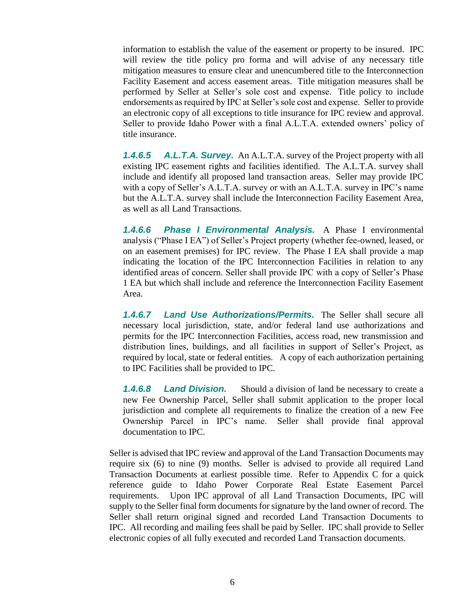information to establish the value of the easement or property to be insured. IPC will review the title policy pro forma and will advise of any necessary title mitigation measures to ensure clear and unencumbered title to the Interconnection Facility Easement and access easement areas. Title mitigation measures shall be performed by Seller at Seller's sole cost and expense. Title policy to include endorsements as required by IPC at Seller's sole cost and expense. Seller to provide an electronic copy of all exceptions to title insurance for IPC review and approval. Seller to provide Idaho Power with a final A.L.T.A. extended owners' policy of title insurance.

*1.4.6.5 A.L.T.A. Survey.* An A.L.T.A. survey of the Project property with all existing IPC easement rights and facilities identified. The A.L.T.A. survey shall include and identify all proposed land transaction areas. Seller may provide IPC with a copy of Seller's A.L.T.A. survey or with an A.L.T.A. survey in IPC's name but the A.L.T.A. survey shall include the Interconnection Facility Easement Area, as well as all Land Transactions.

*1.4.6.6 Phase I Environmental Analysis.* A Phase I environmental analysis ("Phase I EA") of Seller's Project property (whether fee-owned, leased, or on an easement premises) for IPC review. The Phase I EA shall provide a map indicating the location of the IPC Interconnection Facilities in relation to any identified areas of concern. Seller shall provide IPC with a copy of Seller's Phase 1 EA but which shall include and reference the Interconnection Facility Easement Area.

*1.4.6.7 Land Use Authorizations/Permits.* The Seller shall secure all necessary local jurisdiction, state, and/or federal land use authorizations and permits for the IPC Interconnection Facilities, access road, new transmission and distribution lines, buildings, and all facilities in support of Seller's Project, as required by local, state or federal entities. A copy of each authorization pertaining to IPC Facilities shall be provided to IPC.

*1.4.6.8 Land Division.* Should a division of land be necessary to create a new Fee Ownership Parcel, Seller shall submit application to the proper local jurisdiction and complete all requirements to finalize the creation of a new Fee Ownership Parcel in IPC's name. Seller shall provide final approval documentation to IPC.

Seller is advised that IPC review and approval of the Land Transaction Documents may require six (6) to nine (9) months. Seller is advised to provide all required Land Transaction Documents at earliest possible time. Refer to Appendix C for a quick reference guide to Idaho Power Corporate Real Estate Easement Parcel requirements. Upon IPC approval of all Land Transaction Documents, IPC will supply to the Seller final form documents for signature by the land owner of record. The Seller shall return original signed and recorded Land Transaction Documents to IPC. All recording and mailing fees shall be paid by Seller. IPC shall provide to Seller electronic copies of all fully executed and recorded Land Transaction documents.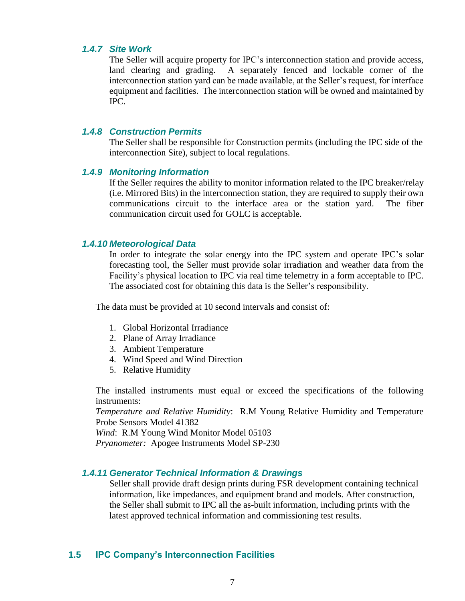### *1.4.7 Site Work*

The Seller will acquire property for IPC's interconnection station and provide access, land clearing and grading. A separately fenced and lockable corner of the interconnection station yard can be made available, at the Seller's request, for interface equipment and facilities. The interconnection station will be owned and maintained by IPC.

### *1.4.8 Construction Permits*

The Seller shall be responsible for Construction permits (including the IPC side of the interconnection Site), subject to local regulations.

## *1.4.9 Monitoring Information*

If the Seller requires the ability to monitor information related to the IPC breaker/relay (i.e. Mirrored Bits) in the interconnection station, they are required to supply their own communications circuit to the interface area or the station yard. The fiber communication circuit used for GOLC is acceptable.

#### *1.4.10 Meteorological Data*

In order to integrate the solar energy into the IPC system and operate IPC's solar forecasting tool, the Seller must provide solar irradiation and weather data from the Facility's physical location to IPC via real time telemetry in a form acceptable to IPC. The associated cost for obtaining this data is the Seller's responsibility.

The data must be provided at 10 second intervals and consist of:

- 1. Global Horizontal Irradiance
- 2. Plane of Array Irradiance
- 3. Ambient Temperature
- 4. Wind Speed and Wind Direction
- 5. Relative Humidity

The installed instruments must equal or exceed the specifications of the following instruments:

*Temperature and Relative Humidity*: R.M Young Relative Humidity and Temperature Probe Sensors Model 41382

*Wind*: R.M Young Wind Monitor Model 05103

*Pryanometer:* Apogee Instruments Model SP-230

### *1.4.11 Generator Technical Information & Drawings*

Seller shall provide draft design prints during FSR development containing technical information, like impedances, and equipment brand and models. After construction, the Seller shall submit to IPC all the as-built information, including prints with the latest approved technical information and commissioning test results.

#### **1.5 IPC Company's Interconnection Facilities**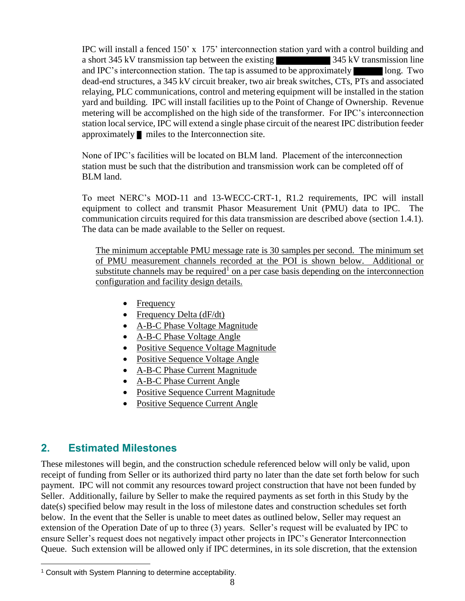IPC will install a fenced 150' x 175' interconnection station yard with a control building and a short 345 kV transmission tap between the existing 345 kV transmission line and IPC's interconnection station. The tap is assumed to be approximately long. Two dead-end structures, a 345 kV circuit breaker, two air break switches, CTs, PTs and associated relaying, PLC communications, control and metering equipment will be installed in the station yard and building. IPC will install facilities up to the Point of Change of Ownership. Revenue metering will be accomplished on the high side of the transformer. For IPC's interconnection station local service, IPC will extend a single phase circuit of the nearest IPC distribution feeder approximately miles to the Interconnection site.

None of IPC's facilities will be located on BLM land. Placement of the interconnection station must be such that the distribution and transmission work can be completed off of BLM land.

To meet NERC's MOD-11 and 13-WECC-CRT-1, R1.2 requirements, IPC will install equipment to collect and transmit Phasor Measurement Unit (PMU) data to IPC. The communication circuits required for this data transmission are described above (section 1.4.1). The data can be made available to the Seller on request.

The minimum acceptable PMU message rate is 30 samples per second. The minimum set of PMU measurement channels recorded at the POI is shown below. Additional or substitute channels may be required<sup>1</sup> on a per case basis depending on the interconnection configuration and facility design details.

- Frequency
- Frequency Delta (dF/dt)
- A-B-C Phase Voltage Magnitude
- A-B-C Phase Voltage Angle
- Positive Sequence Voltage Magnitude
- Positive Sequence Voltage Angle
- A-B-C Phase Current Magnitude
- A-B-C Phase Current Angle
- Positive Sequence Current Magnitude
- Positive Sequence Current Angle

## **2. Estimated Milestones**

 $\overline{a}$ 

These milestones will begin, and the construction schedule referenced below will only be valid, upon receipt of funding from Seller or its authorized third party no later than the date set forth below for such payment. IPC will not commit any resources toward project construction that have not been funded by Seller. Additionally, failure by Seller to make the required payments as set forth in this Study by the date(s) specified below may result in the loss of milestone dates and construction schedules set forth below. In the event that the Seller is unable to meet dates as outlined below, Seller may request an extension of the Operation Date of up to three (3) years. Seller's request will be evaluated by IPC to ensure Seller's request does not negatively impact other projects in IPC's Generator Interconnection Queue. Such extension will be allowed only if IPC determines, in its sole discretion, that the extension

<sup>1</sup> Consult with System Planning to determine acceptability.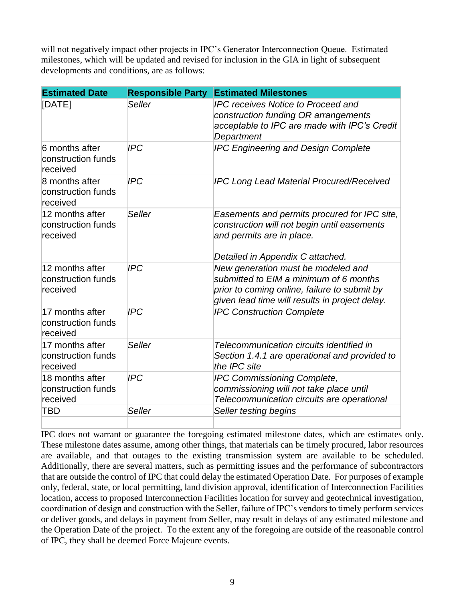will not negatively impact other projects in IPC's Generator Interconnection Queue. Estimated milestones, which will be updated and revised for inclusion in the GIA in light of subsequent developments and conditions, are as follows:

| <b>Estimated Date</b>                             | <b>Responsible Party</b> | <b>Estimated Milestones</b>                                                                                                                                                    |
|---------------------------------------------------|--------------------------|--------------------------------------------------------------------------------------------------------------------------------------------------------------------------------|
| [DATE]                                            | <b>Seller</b>            | <b>IPC receives Notice to Proceed and</b><br>construction funding OR arrangements<br>acceptable to IPC are made with IPC's Credit<br>Department                                |
| 6 months after<br>construction funds<br>received  | <b>IPC</b>               | <b>IPC Engineering and Design Complete</b>                                                                                                                                     |
| 8 months after<br>construction funds<br>received  | <b>IPC</b>               | <b>IPC Long Lead Material Procured/Received</b>                                                                                                                                |
| 12 months after<br>construction funds<br>received | <b>Seller</b>            | Easements and permits procured for IPC site,<br>construction will not begin until easements<br>and permits are in place.<br>Detailed in Appendix C attached.                   |
| 12 months after<br>construction funds<br>received | <b>IPC</b>               | New generation must be modeled and<br>submitted to EIM a minimum of 6 months<br>prior to coming online, failure to submit by<br>given lead time will results in project delay. |
| 17 months after<br>construction funds<br>received | <b>IPC</b>               | <b>IPC Construction Complete</b>                                                                                                                                               |
| 17 months after<br>construction funds<br>received | <b>Seller</b>            | Telecommunication circuits identified in<br>Section 1.4.1 are operational and provided to<br>the IPC site                                                                      |
| 18 months after<br>construction funds<br>received | <b>IPC</b>               | IPC Commissioning Complete,<br>commissioning will not take place until<br>Telecommunication circuits are operational                                                           |
| TBD                                               | <b>Seller</b>            | Seller testing begins                                                                                                                                                          |

IPC does not warrant or guarantee the foregoing estimated milestone dates, which are estimates only. These milestone dates assume, among other things, that materials can be timely procured, labor resources are available, and that outages to the existing transmission system are available to be scheduled. Additionally, there are several matters, such as permitting issues and the performance of subcontractors that are outside the control of IPC that could delay the estimated Operation Date. For purposes of example only, federal, state, or local permitting, land division approval, identification of Interconnection Facilities location, access to proposed Interconnection Facilities location for survey and geotechnical investigation, coordination of design and construction with the Seller, failure of IPC's vendors to timely perform services or deliver goods, and delays in payment from Seller, may result in delays of any estimated milestone and the Operation Date of the project. To the extent any of the foregoing are outside of the reasonable control of IPC, they shall be deemed Force Majeure events.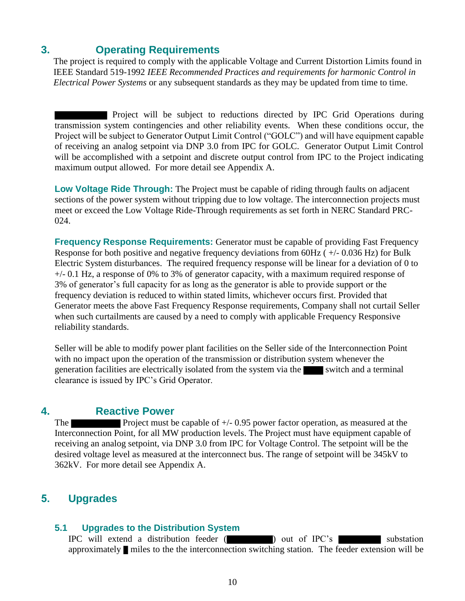## **3. Operating Requirements**

The project is required to comply with the applicable Voltage and Current Distortion Limits found in IEEE Standard 519-1992 *IEEE Recommended Practices and requirements for harmonic Control in Electrical Power Systems* or any subsequent standards as they may be updated from time to time.

Project will be subject to reductions directed by IPC Grid Operations during transmission system contingencies and other reliability events. When these conditions occur, the Project will be subject to Generator Output Limit Control ("GOLC") and will have equipment capable of receiving an analog setpoint via DNP 3.0 from IPC for GOLC. Generator Output Limit Control will be accomplished with a setpoint and discrete output control from IPC to the Project indicating maximum output allowed. For more detail see Appendix A.

**Low Voltage Ride Through:** The Project must be capable of riding through faults on adjacent sections of the power system without tripping due to low voltage. The interconnection projects must meet or exceed the Low Voltage Ride-Through requirements as set forth in NERC Standard PRC-024.

**Frequency Response Requirements:** Generator must be capable of providing Fast Frequency Response for both positive and negative frequency deviations from 60Hz ( +/- 0.036 Hz) for Bulk Electric System disturbances. The required frequency response will be linear for a deviation of 0 to +/- 0.1 Hz, a response of 0% to 3% of generator capacity, with a maximum required response of 3% of generator's full capacity for as long as the generator is able to provide support or the frequency deviation is reduced to within stated limits, whichever occurs first. Provided that Generator meets the above Fast Frequency Response requirements, Company shall not curtail Seller when such curtailments are caused by a need to comply with applicable Frequency Responsive reliability standards.

Seller will be able to modify power plant facilities on the Seller side of the Interconnection Point with no impact upon the operation of the transmission or distribution system whenever the generation facilities are electrically isolated from the system via the switch and a terminal clearance is issued by IPC's Grid Operator.

## **4. Reactive Power**

The **Project must be capable of**  $+/- 0.95$  **power factor operation, as measured at the** Interconnection Point, for all MW production levels. The Project must have equipment capable of receiving an analog setpoint, via DNP 3.0 from IPC for Voltage Control. The setpoint will be the desired voltage level as measured at the interconnect bus. The range of setpoint will be 345kV to 362kV. For more detail see Appendix A.

## **5. Upgrades**

## **5.1 Upgrades to the Distribution System**

IPC will extend a distribution feeder ( ) out of IPC's substation approximately miles to the the interconnection switching station. The feeder extension will be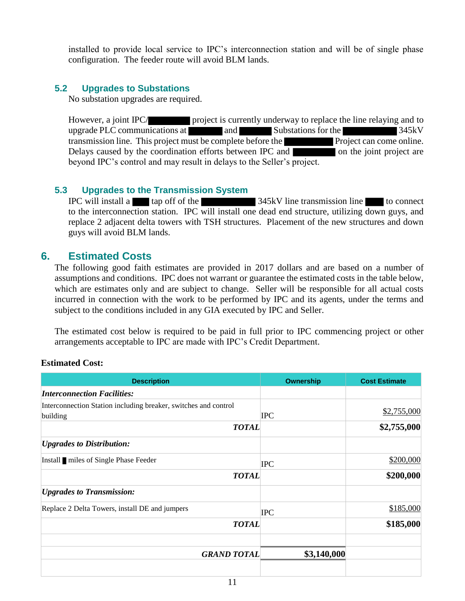installed to provide local service to IPC's interconnection station and will be of single phase configuration. The feeder route will avoid BLM lands.

## **5.2 Upgrades to Substations**

No substation upgrades are required.

However, a joint IPC/ project is currently underway to replace the line relaying and to upgrade PLC communications at and Substations for the 345kV transmission line. This project must be complete before the **Project** can come online. Delays caused by the coordination efforts between IPC and on the joint project are beyond IPC's control and may result in delays to the Seller's project.

## **5.3 Upgrades to the Transmission System**

IPC will install a tap off of the 345kV line transmission line to connect to the interconnection station. IPC will install one dead end structure, utilizing down guys, and replace 2 adjacent delta towers with TSH structures. Placement of the new structures and down guys will avoid BLM lands.

## **6. Estimated Costs**

The following good faith estimates are provided in 2017 dollars and are based on a number of assumptions and conditions. IPC does not warrant or guarantee the estimated costs in the table below, which are estimates only and are subject to change. Seller will be responsible for all actual costs incurred in connection with the work to be performed by IPC and its agents, under the terms and subject to the conditions included in any GIA executed by IPC and Seller.

The estimated cost below is required to be paid in full prior to IPC commencing project or other arrangements acceptable to IPC are made with IPC's Credit Department.

## **Estimated Cost:**

| <b>Description</b>                                              | <b>Ownership</b> | <b>Cost Estimate</b> |
|-----------------------------------------------------------------|------------------|----------------------|
| <b>Interconnection Facilities:</b>                              |                  |                      |
| Interconnection Station including breaker, switches and control |                  |                      |
| building                                                        | <b>IPC</b>       | \$2,755,000          |
| <b>TOTAL</b>                                                    |                  | \$2,755,000          |
| <b><i>Upgrades to Distribution:</i></b>                         |                  |                      |
| Install miles of Single Phase Feeder                            | <b>IPC</b>       | \$200,000            |
| <b>TOTAL</b>                                                    |                  | \$200,000            |
| <b><i>Upgrades to Transmission:</i></b>                         |                  |                      |
| Replace 2 Delta Towers, install DE and jumpers                  | <b>IPC</b>       | \$185,000            |
| <b>TOTAL</b>                                                    |                  | \$185,000            |
| <b>GRAND TOTAL</b>                                              | \$3,140,000      |                      |
|                                                                 |                  |                      |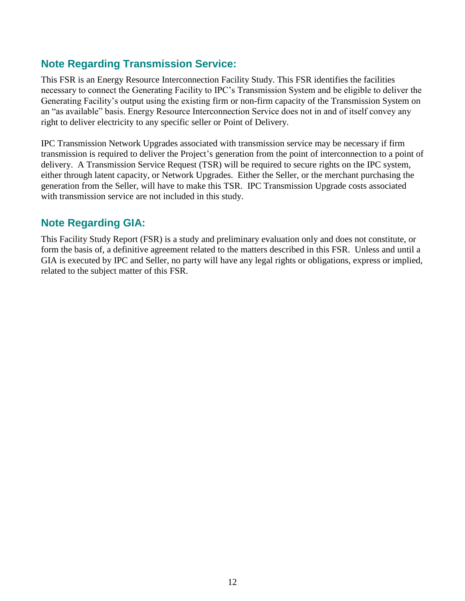## **Note Regarding Transmission Service:**

This FSR is an Energy Resource Interconnection Facility Study. This FSR identifies the facilities necessary to connect the Generating Facility to IPC's Transmission System and be eligible to deliver the Generating Facility's output using the existing firm or non-firm capacity of the Transmission System on an "as available" basis. Energy Resource Interconnection Service does not in and of itself convey any right to deliver electricity to any specific seller or Point of Delivery.

IPC Transmission Network Upgrades associated with transmission service may be necessary if firm transmission is required to deliver the Project's generation from the point of interconnection to a point of delivery. A Transmission Service Request (TSR) will be required to secure rights on the IPC system, either through latent capacity, or Network Upgrades. Either the Seller, or the merchant purchasing the generation from the Seller, will have to make this TSR. IPC Transmission Upgrade costs associated with transmission service are not included in this study.

## **Note Regarding GIA:**

This Facility Study Report (FSR) is a study and preliminary evaluation only and does not constitute, or form the basis of, a definitive agreement related to the matters described in this FSR. Unless and until a GIA is executed by IPC and Seller, no party will have any legal rights or obligations, express or implied, related to the subject matter of this FSR.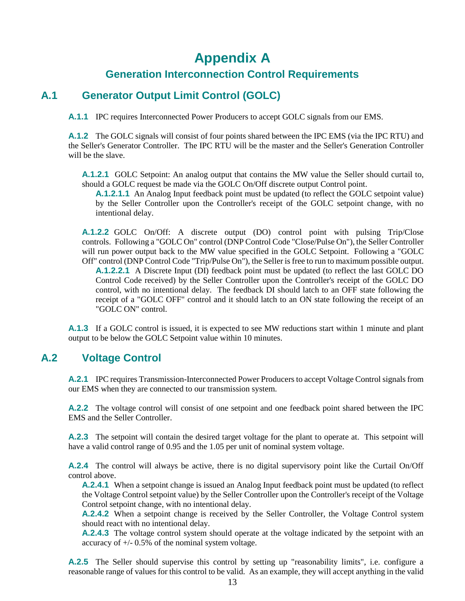# **Appendix A**

## **Generation Interconnection Control Requirements**

## **A.1 Generator Output Limit Control (GOLC)**

**A.1.1** IPC requires Interconnected Power Producers to accept GOLC signals from our EMS.

**A.1.2** The GOLC signals will consist of four points shared between the IPC EMS (via the IPC RTU) and the Seller's Generator Controller. The IPC RTU will be the master and the Seller's Generation Controller will be the slave.

**A.1.2.1** GOLC Setpoint: An analog output that contains the MW value the Seller should curtail to, should a GOLC request be made via the GOLC On/Off discrete output Control point.

**A.1.2.1.1** An Analog Input feedback point must be updated (to reflect the GOLC setpoint value) by the Seller Controller upon the Controller's receipt of the GOLC setpoint change, with no intentional delay.

**A.1.2.2** GOLC On/Off: A discrete output (DO) control point with pulsing Trip/Close controls. Following a "GOLC On" control (DNP Control Code "Close/Pulse On"), the Seller Controller will run power output back to the MW value specified in the GOLC Setpoint. Following a "GOLC Off" control (DNP Control Code "Trip/Pulse On"), the Seller is free to run to maximum possible output. **A.1.2.2.1** A Discrete Input (DI) feedback point must be updated (to reflect the last GOLC DO Control Code received) by the Seller Controller upon the Controller's receipt of the GOLC DO control, with no intentional delay. The feedback DI should latch to an OFF state following the

receipt of a "GOLC OFF" control and it should latch to an ON state following the receipt of an "GOLC ON" control.

**A.1.3** If a GOLC control is issued, it is expected to see MW reductions start within 1 minute and plant output to be below the GOLC Setpoint value within 10 minutes.

## **A.2 Voltage Control**

**A.2.1** IPC requires Transmission-Interconnected Power Producers to accept Voltage Control signals from our EMS when they are connected to our transmission system.

**A.2.2** The voltage control will consist of one setpoint and one feedback point shared between the IPC EMS and the Seller Controller.

**A.2.3** The setpoint will contain the desired target voltage for the plant to operate at. This setpoint will have a valid control range of 0.95 and the 1.05 per unit of nominal system voltage.

**A.2.4** The control will always be active, there is no digital supervisory point like the Curtail On/Off control above.

**A.2.4.1** When a setpoint change is issued an Analog Input feedback point must be updated (to reflect the Voltage Control setpoint value) by the Seller Controller upon the Controller's receipt of the Voltage Control setpoint change, with no intentional delay.

**A.2.4.2** When a setpoint change is received by the Seller Controller, the Voltage Control system should react with no intentional delay.

**A.2.4.3** The voltage control system should operate at the voltage indicated by the setpoint with an accuracy of +/- 0.5% of the nominal system voltage.

**A.2.5** The Seller should supervise this control by setting up "reasonability limits", i.e. configure a reasonable range of values for this control to be valid. As an example, they will accept anything in the valid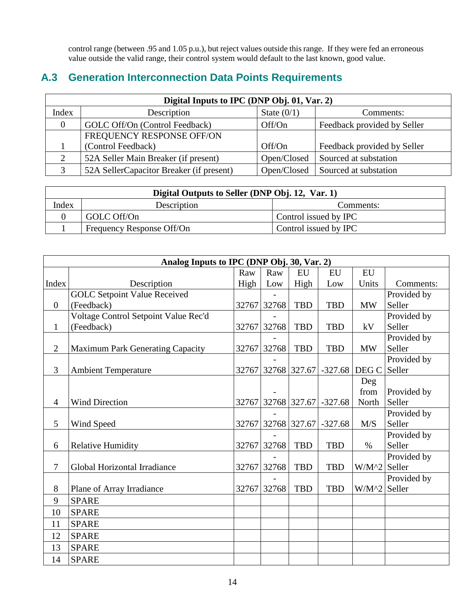control range (between .95 and 1.05 p.u.), but reject values outside this range. If they were fed an erroneous value outside the valid range, their control system would default to the last known, good value.

## **A.3 Generation Interconnection Data Points Requirements**

| Digital Inputs to IPC (DNP Obj. 01, Var. 2) |                                          |               |                             |  |  |  |  |  |
|---------------------------------------------|------------------------------------------|---------------|-----------------------------|--|--|--|--|--|
| Index                                       | Description                              | State $(0/1)$ | Comments:                   |  |  |  |  |  |
| $\Omega$                                    | GOLC Off/On (Control Feedback)           | Off/On        | Feedback provided by Seller |  |  |  |  |  |
|                                             | FREQUENCY RESPONSE OFF/ON                |               |                             |  |  |  |  |  |
|                                             | (Control Feedback)                       | Off/On        | Feedback provided by Seller |  |  |  |  |  |
|                                             | 52A Seller Main Breaker (if present)     | Open/Closed   | Sourced at substation       |  |  |  |  |  |
|                                             | 52A SellerCapacitor Breaker (if present) | Open/Closed   | Sourced at substation       |  |  |  |  |  |

| Digital Outputs to Seller (DNP Obj. 12, Var. 1) |                           |                       |  |  |  |  |  |
|-------------------------------------------------|---------------------------|-----------------------|--|--|--|--|--|
| Index<br>Description<br>Comments:               |                           |                       |  |  |  |  |  |
|                                                 | GOLC Off/On               | Control issued by IPC |  |  |  |  |  |
|                                                 | Frequency Response Off/On | Control issued by IPC |  |  |  |  |  |

|                  | Analog Inputs to IPC (DNP Obj. 30, Var. 2) |       |              |              |            |                |             |  |  |
|------------------|--------------------------------------------|-------|--------------|--------------|------------|----------------|-------------|--|--|
|                  |                                            | Raw   | Raw          | EU           | EU         | EU             |             |  |  |
| Index            | Description                                | High  | Low          | High         | Low        | Units          | Comments:   |  |  |
|                  | <b>GOLC Setpoint Value Received</b>        |       |              |              |            |                | Provided by |  |  |
| $\boldsymbol{0}$ | (Feedback)                                 | 32767 | 32768        | <b>TBD</b>   | <b>TBD</b> | <b>MW</b>      | Seller      |  |  |
|                  | Voltage Control Setpoint Value Rec'd       |       |              |              |            |                | Provided by |  |  |
| $\mathbf{1}$     | (Feedback)                                 | 32767 | 32768        | <b>TBD</b>   | <b>TBD</b> | kV             | Seller      |  |  |
|                  |                                            |       |              |              |            |                | Provided by |  |  |
| $\overline{2}$   | <b>Maximum Park Generating Capacity</b>    | 32767 | 32768        | <b>TBD</b>   | <b>TBD</b> | <b>MW</b>      | Seller      |  |  |
|                  |                                            |       |              |              |            |                | Provided by |  |  |
| 3                | <b>Ambient Temperature</b>                 | 32767 | 32768 327.67 |              | $-327.68$  | DEG C          | Seller      |  |  |
|                  |                                            |       |              |              |            | Deg            |             |  |  |
|                  |                                            |       |              |              |            | from           | Provided by |  |  |
| $\overline{4}$   | <b>Wind Direction</b>                      | 32767 |              | 32768 327.67 | $-327.68$  | North          | Seller      |  |  |
|                  |                                            |       |              |              |            |                | Provided by |  |  |
| 5                | Wind Speed                                 | 32767 | 32768 327.67 |              | $-327.68$  | M/S            | Seller      |  |  |
|                  |                                            |       |              |              |            |                | Provided by |  |  |
| 6                | <b>Relative Humidity</b>                   | 32767 | 32768        | <b>TBD</b>   | <b>TBD</b> | $\%$           | Seller      |  |  |
|                  |                                            |       |              |              |            |                | Provided by |  |  |
| 7                | Global Horizontal Irradiance               | 32767 | 32768        | <b>TBD</b>   | <b>TBD</b> | $W/M^2$        | Seller      |  |  |
|                  |                                            |       |              |              |            |                | Provided by |  |  |
| 8                | Plane of Array Irradiance                  | 32767 | 32768        | <b>TBD</b>   | <b>TBD</b> | $W/M^2$ Seller |             |  |  |
| 9                | <b>SPARE</b>                               |       |              |              |            |                |             |  |  |
| 10               | <b>SPARE</b>                               |       |              |              |            |                |             |  |  |
| 11               | <b>SPARE</b>                               |       |              |              |            |                |             |  |  |
| 12               | <b>SPARE</b>                               |       |              |              |            |                |             |  |  |
| 13               | <b>SPARE</b>                               |       |              |              |            |                |             |  |  |
| 14               | <b>SPARE</b>                               |       |              |              |            |                |             |  |  |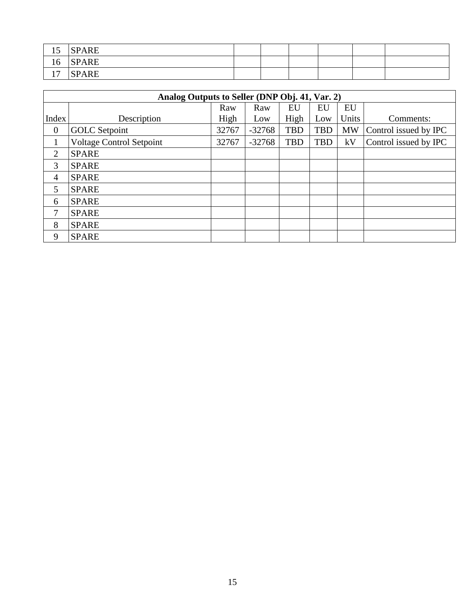| 1 <sub>r</sub><br>10  | <b>SPARE</b> |  |  |  |
|-----------------------|--------------|--|--|--|
| 16                    | <b>SPARE</b> |  |  |  |
| 1 <sub>7</sub><br>. . | <b>SPARE</b> |  |  |  |

| Analog Outputs to Seller (DNP Obj. 41, Var. 2) |                                 |       |          |            |            |           |                       |  |  |
|------------------------------------------------|---------------------------------|-------|----------|------------|------------|-----------|-----------------------|--|--|
|                                                |                                 | Raw   | Raw      | EU         | EU         | EU        |                       |  |  |
| Index                                          | Description                     | High  | Low      | High       | Low        | Units     | Comments:             |  |  |
| $\mathbf{0}$                                   | <b>GOLC</b> Setpoint            | 32767 | $-32768$ | <b>TBD</b> | <b>TBD</b> | <b>MW</b> | Control issued by IPC |  |  |
|                                                | <b>Voltage Control Setpoint</b> | 32767 | $-32768$ | <b>TBD</b> | <b>TBD</b> | kV        | Control issued by IPC |  |  |
| $\overline{2}$                                 | <b>SPARE</b>                    |       |          |            |            |           |                       |  |  |
| 3                                              | <b>SPARE</b>                    |       |          |            |            |           |                       |  |  |
| 4                                              | <b>SPARE</b>                    |       |          |            |            |           |                       |  |  |
| 5                                              | <b>SPARE</b>                    |       |          |            |            |           |                       |  |  |
| 6                                              | <b>SPARE</b>                    |       |          |            |            |           |                       |  |  |
| $\mathcal{I}$                                  | <b>SPARE</b>                    |       |          |            |            |           |                       |  |  |
| 8                                              | <b>SPARE</b>                    |       |          |            |            |           |                       |  |  |
| 9                                              | <b>SPARE</b>                    |       |          |            |            |           |                       |  |  |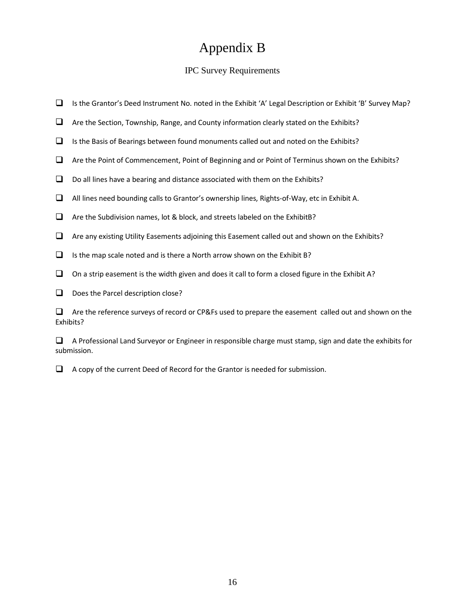# Appendix B

## IPC Survey Requirements

- Is the Grantor's Deed Instrument No. noted in the Exhibit 'A' Legal Description or Exhibit 'B' Survey Map?
- $\Box$  Are the Section, Township, Range, and County information clearly stated on the Exhibits?
- $\Box$  Is the Basis of Bearings between found monuments called out and noted on the Exhibits?
- $\Box$  Are the Point of Commencement, Point of Beginning and or Point of Terminus shown on the Exhibits?
- $\Box$  Do all lines have a bearing and distance associated with them on the Exhibits?
- All lines need bounding calls to Grantor's ownership lines, Rights-of-Way, etc in Exhibit A.
- $\Box$  Are the Subdivision names, lot & block, and streets labeled on the ExhibitB?
- $\Box$  Are any existing Utility Easements adjoining this Easement called out and shown on the Exhibits?
- $\Box$  Is the map scale noted and is there a North arrow shown on the Exhibit B?
- $\Box$  On a strip easement is the width given and does it call to form a closed figure in the Exhibit A?
- $\Box$  Does the Parcel description close?

 $\Box$  Are the reference surveys of record or CP&Fs used to prepare the easement called out and shown on the Exhibits?

 $\Box$  A Professional Land Surveyor or Engineer in responsible charge must stamp, sign and date the exhibits for submission.

 $\Box$  A copy of the current Deed of Record for the Grantor is needed for submission.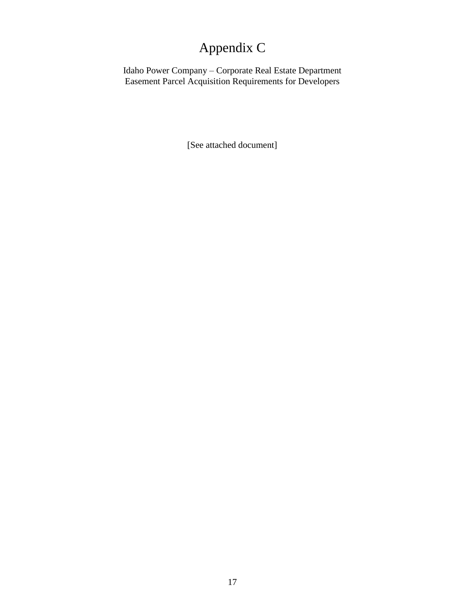# Appendix C

Idaho Power Company – Corporate Real Estate Department Easement Parcel Acquisition Requirements for Developers

[See attached document]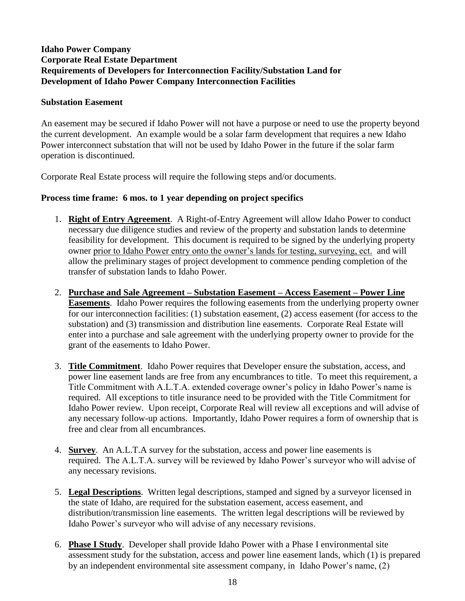## **Idaho Power Company Corporate Real Estate Department Requirements of Developers for Interconnection Facility/Substation Land for Development of Idaho Power Company Interconnection Facilities**

### **Substation Easement**

An easement may be secured if Idaho Power will not have a purpose or need to use the property beyond the current development. An example would be a solar farm development that requires a new Idaho Power interconnect substation that will not be used by Idaho Power in the future if the solar farm operation is discontinued.

Corporate Real Estate process will require the following steps and/or documents.

## **Process time frame: 6 mos. to 1 year depending on project specifics**

- 1. **Right of Entry Agreement**. A Right-of-Entry Agreement will allow Idaho Power to conduct necessary due diligence studies and review of the property and substation lands to determine feasibility for development. This document is required to be signed by the underlying property owner prior to Idaho Power entry onto the owner's lands for testing, surveying, ect. and will allow the preliminary stages of project development to commence pending completion of the transfer of substation lands to Idaho Power.
- 2. **Purchase and Sale Agreement – Substation Easement – Access Easement – Power Line Easements**. Idaho Power requires the following easements from the underlying property owner for our interconnection facilities: (1) substation easement, (2) access easement (for access to the substation) and (3) transmission and distribution line easements. Corporate Real Estate will enter into a purchase and sale agreement with the underlying property owner to provide for the grant of the easements to Idaho Power.
- 3. **Title Commitment**. Idaho Power requires that Developer ensure the substation, access, and power line easement lands are free from any encumbrances to title. To meet this requirement, a Title Commitment with A.L.T.A. extended coverage owner's policy in Idaho Power's name is required. All exceptions to title insurance need to be provided with the Title Commitment for Idaho Power review. Upon receipt, Corporate Real will review all exceptions and will advise of any necessary follow-up actions. Importantly, Idaho Power requires a form of ownership that is free and clear from all encumbrances.
- 4. **Survey**. An A.L.T.A survey for the substation, access and power line easements is required. The A.L.T.A. survey will be reviewed by Idaho Power's surveyor who will advise of any necessary revisions.
- 5. **Legal Descriptions**. Written legal descriptions, stamped and signed by a surveyor licensed in the state of Idaho, are required for the substation easement, access easement, and distribution/transmission line easements. The written legal descriptions will be reviewed by Idaho Power's surveyor who will advise of any necessary revisions.
- 6. **Phase I Study**. Developer shall provide Idaho Power with a Phase I environmental site assessment study for the substation, access and power line easement lands, which (1) is prepared by an independent environmental site assessment company, in Idaho Power's name, (2)